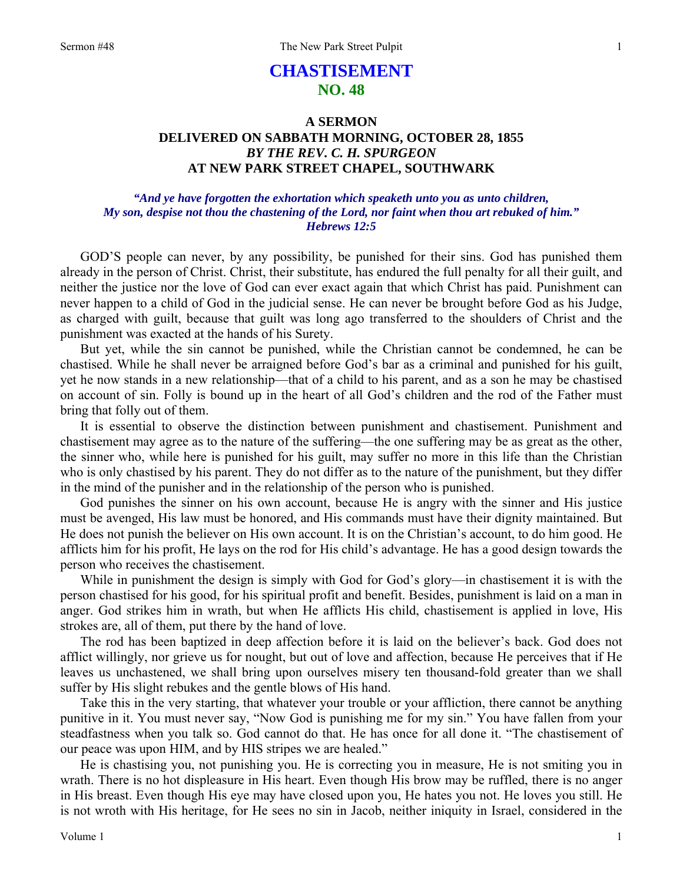# **CHASTISEMENT NO. 48**

# **A SERMON DELIVERED ON SABBATH MORNING, OCTOBER 28, 1855**  *BY THE REV. C. H. SPURGEON*  **AT NEW PARK STREET CHAPEL, SOUTHWARK**

## *"And ye have forgotten the exhortation which speaketh unto you as unto children, My son, despise not thou the chastening of the Lord, nor faint when thou art rebuked of him." Hebrews 12:5*

GOD'S people can never, by any possibility, be punished for their sins. God has punished them already in the person of Christ. Christ, their substitute, has endured the full penalty for all their guilt, and neither the justice nor the love of God can ever exact again that which Christ has paid. Punishment can never happen to a child of God in the judicial sense. He can never be brought before God as his Judge, as charged with guilt, because that guilt was long ago transferred to the shoulders of Christ and the punishment was exacted at the hands of his Surety.

But yet, while the sin cannot be punished, while the Christian cannot be condemned, he can be chastised. While he shall never be arraigned before God's bar as a criminal and punished for his guilt, yet he now stands in a new relationship—that of a child to his parent, and as a son he may be chastised on account of sin. Folly is bound up in the heart of all God's children and the rod of the Father must bring that folly out of them.

It is essential to observe the distinction between punishment and chastisement. Punishment and chastisement may agree as to the nature of the suffering—the one suffering may be as great as the other, the sinner who, while here is punished for his guilt, may suffer no more in this life than the Christian who is only chastised by his parent. They do not differ as to the nature of the punishment, but they differ in the mind of the punisher and in the relationship of the person who is punished.

God punishes the sinner on his own account, because He is angry with the sinner and His justice must be avenged, His law must be honored, and His commands must have their dignity maintained. But He does not punish the believer on His own account. It is on the Christian's account, to do him good. He afflicts him for his profit, He lays on the rod for His child's advantage. He has a good design towards the person who receives the chastisement.

While in punishment the design is simply with God for God's glory—in chastisement it is with the person chastised for his good, for his spiritual profit and benefit. Besides, punishment is laid on a man in anger. God strikes him in wrath, but when He afflicts His child, chastisement is applied in love, His strokes are, all of them, put there by the hand of love.

The rod has been baptized in deep affection before it is laid on the believer's back. God does not afflict willingly, nor grieve us for nought, but out of love and affection, because He perceives that if He leaves us unchastened, we shall bring upon ourselves misery ten thousand-fold greater than we shall suffer by His slight rebukes and the gentle blows of His hand.

Take this in the very starting, that whatever your trouble or your affliction, there cannot be anything punitive in it. You must never say, "Now God is punishing me for my sin." You have fallen from your steadfastness when you talk so. God cannot do that. He has once for all done it. "The chastisement of our peace was upon HIM, and by HIS stripes we are healed."

He is chastising you, not punishing you. He is correcting you in measure, He is not smiting you in wrath. There is no hot displeasure in His heart. Even though His brow may be ruffled, there is no anger in His breast. Even though His eye may have closed upon you, He hates you not. He loves you still. He is not wroth with His heritage, for He sees no sin in Jacob, neither iniquity in Israel, considered in the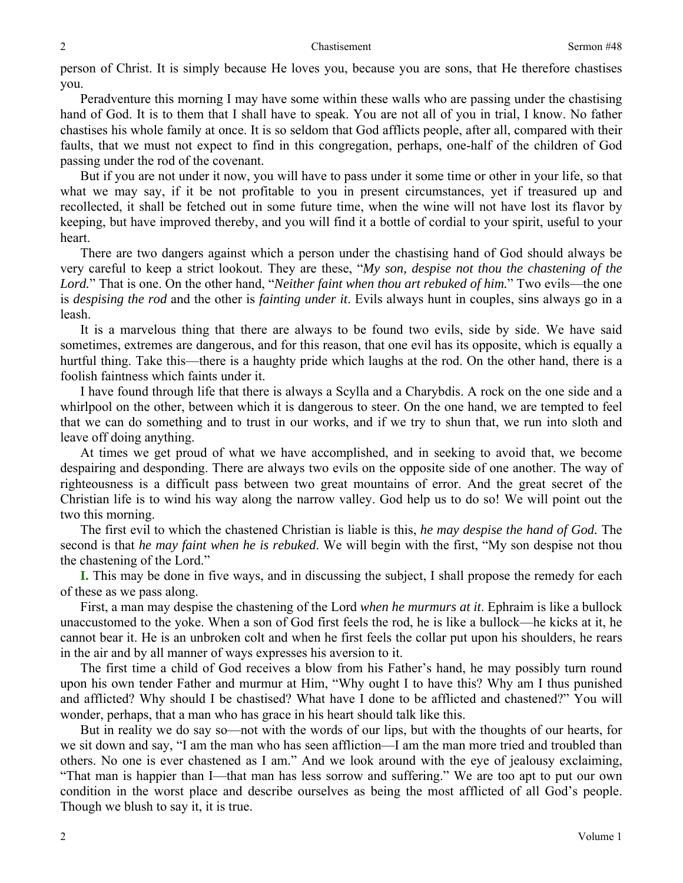person of Christ. It is simply because He loves you, because you are sons, that He therefore chastises you.

Peradventure this morning I may have some within these walls who are passing under the chastising hand of God. It is to them that I shall have to speak. You are not all of you in trial, I know. No father chastises his whole family at once. It is so seldom that God afflicts people, after all, compared with their faults, that we must not expect to find in this congregation, perhaps, one-half of the children of God passing under the rod of the covenant.

But if you are not under it now, you will have to pass under it some time or other in your life, so that what we may say, if it be not profitable to you in present circumstances, yet if treasured up and recollected, it shall be fetched out in some future time, when the wine will not have lost its flavor by keeping, but have improved thereby, and you will find it a bottle of cordial to your spirit, useful to your heart.

There are two dangers against which a person under the chastising hand of God should always be very careful to keep a strict lookout. They are these, "*My son, despise not thou the chastening of the Lord.*" That is one. On the other hand, "*Neither faint when thou art rebuked of him.*" Two evils—the one is *despising the rod* and the other is *fainting under it*. Evils always hunt in couples, sins always go in a leash.

It is a marvelous thing that there are always to be found two evils, side by side. We have said sometimes, extremes are dangerous, and for this reason, that one evil has its opposite, which is equally a hurtful thing. Take this—there is a haughty pride which laughs at the rod. On the other hand, there is a foolish faintness which faints under it.

I have found through life that there is always a Scylla and a Charybdis. A rock on the one side and a whirlpool on the other, between which it is dangerous to steer. On the one hand, we are tempted to feel that we can do something and to trust in our works, and if we try to shun that, we run into sloth and leave off doing anything.

At times we get proud of what we have accomplished, and in seeking to avoid that, we become despairing and desponding. There are always two evils on the opposite side of one another. The way of righteousness is a difficult pass between two great mountains of error. And the great secret of the Christian life is to wind his way along the narrow valley. God help us to do so! We will point out the two this morning.

The first evil to which the chastened Christian is liable is this, *he may despise the hand of God.* The second is that *he may faint when he is rebuked*. We will begin with the first, "My son despise not thou the chastening of the Lord."

**I.** This may be done in five ways, and in discussing the subject, I shall propose the remedy for each of these as we pass along.

First, a man may despise the chastening of the Lord *when he murmurs at it*. Ephraim is like a bullock unaccustomed to the yoke. When a son of God first feels the rod, he is like a bullock—he kicks at it, he cannot bear it. He is an unbroken colt and when he first feels the collar put upon his shoulders, he rears in the air and by all manner of ways expresses his aversion to it.

The first time a child of God receives a blow from his Father's hand, he may possibly turn round upon his own tender Father and murmur at Him, "Why ought I to have this? Why am I thus punished and afflicted? Why should I be chastised? What have I done to be afflicted and chastened?" You will wonder, perhaps, that a man who has grace in his heart should talk like this.

But in reality we do say so—not with the words of our lips, but with the thoughts of our hearts, for we sit down and say, "I am the man who has seen affliction—I am the man more tried and troubled than others. No one is ever chastened as I am." And we look around with the eye of jealousy exclaiming, "That man is happier than I—that man has less sorrow and suffering." We are too apt to put our own condition in the worst place and describe ourselves as being the most afflicted of all God's people. Though we blush to say it, it is true.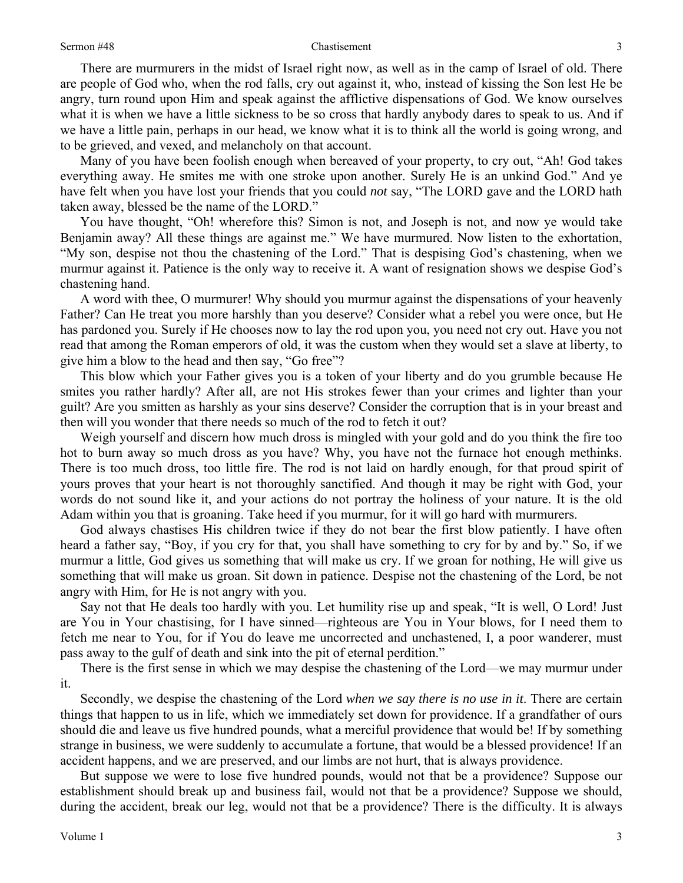There are murmurers in the midst of Israel right now, as well as in the camp of Israel of old. There are people of God who, when the rod falls, cry out against it, who, instead of kissing the Son lest He be angry, turn round upon Him and speak against the afflictive dispensations of God. We know ourselves what it is when we have a little sickness to be so cross that hardly anybody dares to speak to us. And if we have a little pain, perhaps in our head, we know what it is to think all the world is going wrong, and to be grieved, and vexed, and melancholy on that account.

Many of you have been foolish enough when bereaved of your property, to cry out, "Ah! God takes everything away. He smites me with one stroke upon another. Surely He is an unkind God." And ye have felt when you have lost your friends that you could *not* say, "The LORD gave and the LORD hath taken away, blessed be the name of the LORD."

You have thought, "Oh! wherefore this? Simon is not, and Joseph is not, and now ye would take Benjamin away? All these things are against me." We have murmured. Now listen to the exhortation, "My son, despise not thou the chastening of the Lord." That is despising God's chastening, when we murmur against it. Patience is the only way to receive it. A want of resignation shows we despise God's chastening hand.

A word with thee, O murmurer! Why should you murmur against the dispensations of your heavenly Father? Can He treat you more harshly than you deserve? Consider what a rebel you were once, but He has pardoned you. Surely if He chooses now to lay the rod upon you, you need not cry out. Have you not read that among the Roman emperors of old, it was the custom when they would set a slave at liberty, to give him a blow to the head and then say, "Go free"?

This blow which your Father gives you is a token of your liberty and do you grumble because He smites you rather hardly? After all, are not His strokes fewer than your crimes and lighter than your guilt? Are you smitten as harshly as your sins deserve? Consider the corruption that is in your breast and then will you wonder that there needs so much of the rod to fetch it out?

Weigh yourself and discern how much dross is mingled with your gold and do you think the fire too hot to burn away so much dross as you have? Why, you have not the furnace hot enough methinks. There is too much dross, too little fire. The rod is not laid on hardly enough, for that proud spirit of yours proves that your heart is not thoroughly sanctified. And though it may be right with God, your words do not sound like it, and your actions do not portray the holiness of your nature. It is the old Adam within you that is groaning. Take heed if you murmur, for it will go hard with murmurers.

God always chastises His children twice if they do not bear the first blow patiently. I have often heard a father say, "Boy, if you cry for that, you shall have something to cry for by and by." So, if we murmur a little, God gives us something that will make us cry. If we groan for nothing, He will give us something that will make us groan. Sit down in patience. Despise not the chastening of the Lord, be not angry with Him, for He is not angry with you.

Say not that He deals too hardly with you. Let humility rise up and speak, "It is well, O Lord! Just are You in Your chastising, for I have sinned—righteous are You in Your blows, for I need them to fetch me near to You, for if You do leave me uncorrected and unchastened, I, a poor wanderer, must pass away to the gulf of death and sink into the pit of eternal perdition."

There is the first sense in which we may despise the chastening of the Lord—we may murmur under it.

Secondly, we despise the chastening of the Lord *when we say there is no use in it*. There are certain things that happen to us in life, which we immediately set down for providence. If a grandfather of ours should die and leave us five hundred pounds, what a merciful providence that would be! If by something strange in business, we were suddenly to accumulate a fortune, that would be a blessed providence! If an accident happens, and we are preserved, and our limbs are not hurt, that is always providence.

But suppose we were to lose five hundred pounds, would not that be a providence? Suppose our establishment should break up and business fail, would not that be a providence? Suppose we should, during the accident, break our leg, would not that be a providence? There is the difficulty. It is always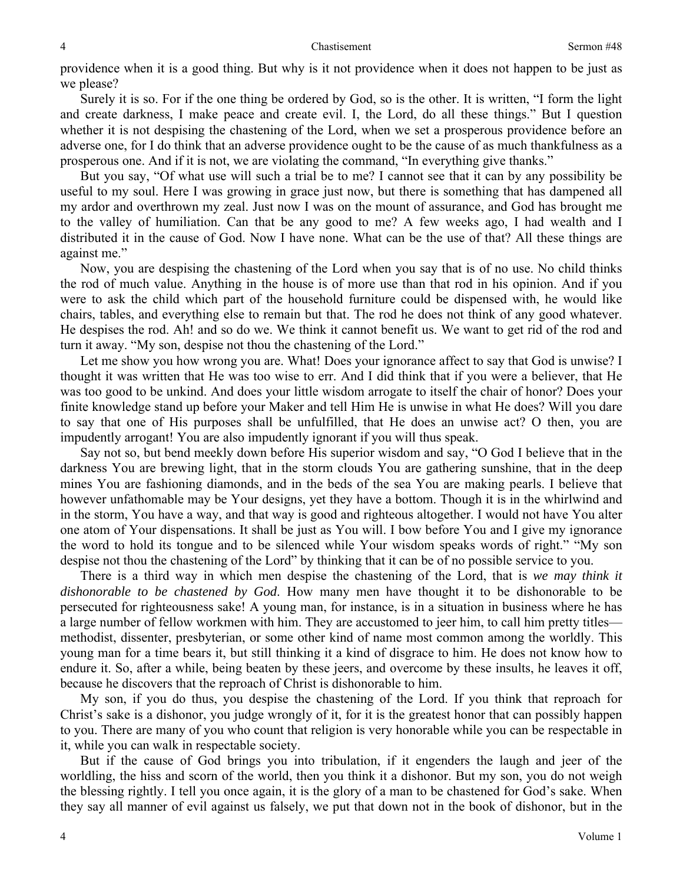providence when it is a good thing. But why is it not providence when it does not happen to be just as we please?

Surely it is so. For if the one thing be ordered by God, so is the other. It is written, "I form the light and create darkness, I make peace and create evil. I, the Lord, do all these things." But I question whether it is not despising the chastening of the Lord, when we set a prosperous providence before an adverse one, for I do think that an adverse providence ought to be the cause of as much thankfulness as a prosperous one. And if it is not, we are violating the command, "In everything give thanks."

But you say, "Of what use will such a trial be to me? I cannot see that it can by any possibility be useful to my soul. Here I was growing in grace just now, but there is something that has dampened all my ardor and overthrown my zeal. Just now I was on the mount of assurance, and God has brought me to the valley of humiliation. Can that be any good to me? A few weeks ago, I had wealth and I distributed it in the cause of God. Now I have none. What can be the use of that? All these things are against me."

Now, you are despising the chastening of the Lord when you say that is of no use. No child thinks the rod of much value. Anything in the house is of more use than that rod in his opinion. And if you were to ask the child which part of the household furniture could be dispensed with, he would like chairs, tables, and everything else to remain but that. The rod he does not think of any good whatever. He despises the rod. Ah! and so do we. We think it cannot benefit us. We want to get rid of the rod and turn it away. "My son, despise not thou the chastening of the Lord."

Let me show you how wrong you are. What! Does your ignorance affect to say that God is unwise? I thought it was written that He was too wise to err. And I did think that if you were a believer, that He was too good to be unkind. And does your little wisdom arrogate to itself the chair of honor? Does your finite knowledge stand up before your Maker and tell Him He is unwise in what He does? Will you dare to say that one of His purposes shall be unfulfilled, that He does an unwise act? O then, you are impudently arrogant! You are also impudently ignorant if you will thus speak.

Say not so, but bend meekly down before His superior wisdom and say, "O God I believe that in the darkness You are brewing light, that in the storm clouds You are gathering sunshine, that in the deep mines You are fashioning diamonds, and in the beds of the sea You are making pearls. I believe that however unfathomable may be Your designs, yet they have a bottom. Though it is in the whirlwind and in the storm, You have a way, and that way is good and righteous altogether. I would not have You alter one atom of Your dispensations. It shall be just as You will. I bow before You and I give my ignorance the word to hold its tongue and to be silenced while Your wisdom speaks words of right." "My son despise not thou the chastening of the Lord" by thinking that it can be of no possible service to you.

There is a third way in which men despise the chastening of the Lord, that is *we may think it dishonorable to be chastened by God*. How many men have thought it to be dishonorable to be persecuted for righteousness sake! A young man, for instance, is in a situation in business where he has a large number of fellow workmen with him. They are accustomed to jeer him, to call him pretty titles methodist, dissenter, presbyterian, or some other kind of name most common among the worldly. This young man for a time bears it, but still thinking it a kind of disgrace to him. He does not know how to endure it. So, after a while, being beaten by these jeers, and overcome by these insults, he leaves it off, because he discovers that the reproach of Christ is dishonorable to him.

My son, if you do thus, you despise the chastening of the Lord. If you think that reproach for Christ's sake is a dishonor, you judge wrongly of it, for it is the greatest honor that can possibly happen to you. There are many of you who count that religion is very honorable while you can be respectable in it, while you can walk in respectable society.

But if the cause of God brings you into tribulation, if it engenders the laugh and jeer of the worldling, the hiss and scorn of the world, then you think it a dishonor. But my son, you do not weigh the blessing rightly. I tell you once again, it is the glory of a man to be chastened for God's sake. When they say all manner of evil against us falsely, we put that down not in the book of dishonor, but in the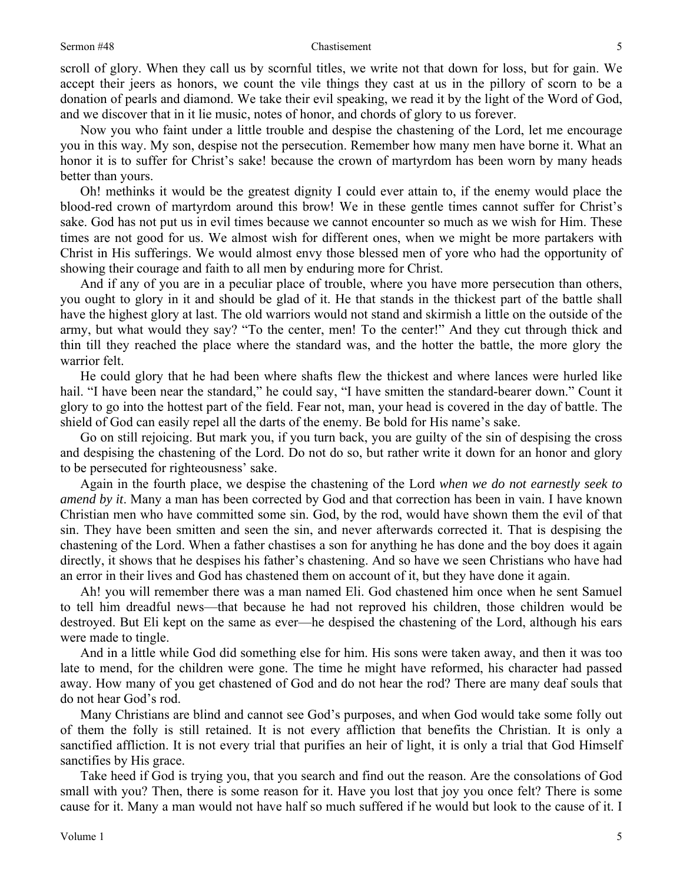scroll of glory. When they call us by scornful titles, we write not that down for loss, but for gain. We accept their jeers as honors, we count the vile things they cast at us in the pillory of scorn to be a donation of pearls and diamond. We take their evil speaking, we read it by the light of the Word of God, and we discover that in it lie music, notes of honor, and chords of glory to us forever.

Now you who faint under a little trouble and despise the chastening of the Lord, let me encourage you in this way. My son, despise not the persecution. Remember how many men have borne it. What an honor it is to suffer for Christ's sake! because the crown of martyrdom has been worn by many heads better than yours.

Oh! methinks it would be the greatest dignity I could ever attain to, if the enemy would place the blood-red crown of martyrdom around this brow! We in these gentle times cannot suffer for Christ's sake. God has not put us in evil times because we cannot encounter so much as we wish for Him. These times are not good for us. We almost wish for different ones, when we might be more partakers with Christ in His sufferings. We would almost envy those blessed men of yore who had the opportunity of showing their courage and faith to all men by enduring more for Christ.

And if any of you are in a peculiar place of trouble, where you have more persecution than others, you ought to glory in it and should be glad of it. He that stands in the thickest part of the battle shall have the highest glory at last. The old warriors would not stand and skirmish a little on the outside of the army, but what would they say? "To the center, men! To the center!" And they cut through thick and thin till they reached the place where the standard was, and the hotter the battle, the more glory the warrior felt.

He could glory that he had been where shafts flew the thickest and where lances were hurled like hail. "I have been near the standard," he could say, "I have smitten the standard-bearer down." Count it glory to go into the hottest part of the field. Fear not, man, your head is covered in the day of battle. The shield of God can easily repel all the darts of the enemy. Be bold for His name's sake.

Go on still rejoicing. But mark you, if you turn back, you are guilty of the sin of despising the cross and despising the chastening of the Lord. Do not do so, but rather write it down for an honor and glory to be persecuted for righteousness' sake.

Again in the fourth place, we despise the chastening of the Lord *when we do not earnestly seek to amend by it*. Many a man has been corrected by God and that correction has been in vain. I have known Christian men who have committed some sin. God, by the rod, would have shown them the evil of that sin. They have been smitten and seen the sin, and never afterwards corrected it. That is despising the chastening of the Lord. When a father chastises a son for anything he has done and the boy does it again directly, it shows that he despises his father's chastening. And so have we seen Christians who have had an error in their lives and God has chastened them on account of it, but they have done it again.

Ah! you will remember there was a man named Eli. God chastened him once when he sent Samuel to tell him dreadful news—that because he had not reproved his children, those children would be destroyed. But Eli kept on the same as ever—he despised the chastening of the Lord, although his ears were made to tingle.

And in a little while God did something else for him. His sons were taken away, and then it was too late to mend, for the children were gone. The time he might have reformed, his character had passed away. How many of you get chastened of God and do not hear the rod? There are many deaf souls that do not hear God's rod.

Many Christians are blind and cannot see God's purposes, and when God would take some folly out of them the folly is still retained. It is not every affliction that benefits the Christian. It is only a sanctified affliction. It is not every trial that purifies an heir of light, it is only a trial that God Himself sanctifies by His grace.

Take heed if God is trying you, that you search and find out the reason. Are the consolations of God small with you? Then, there is some reason for it. Have you lost that joy you once felt? There is some cause for it. Many a man would not have half so much suffered if he would but look to the cause of it. I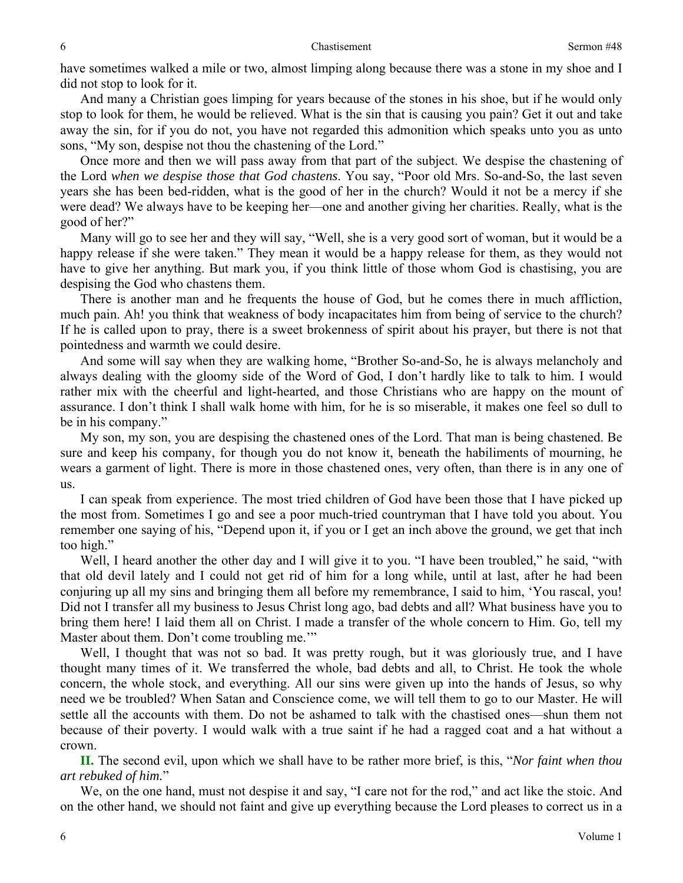have sometimes walked a mile or two, almost limping along because there was a stone in my shoe and I did not stop to look for it.

And many a Christian goes limping for years because of the stones in his shoe, but if he would only stop to look for them, he would be relieved. What is the sin that is causing you pain? Get it out and take away the sin, for if you do not, you have not regarded this admonition which speaks unto you as unto sons, "My son, despise not thou the chastening of the Lord."

Once more and then we will pass away from that part of the subject. We despise the chastening of the Lord *when we despise those that God chastens*. You say, "Poor old Mrs. So-and-So, the last seven years she has been bed-ridden, what is the good of her in the church? Would it not be a mercy if she were dead? We always have to be keeping her—one and another giving her charities. Really, what is the good of her?"

Many will go to see her and they will say, "Well, she is a very good sort of woman, but it would be a happy release if she were taken." They mean it would be a happy release for them, as they would not have to give her anything. But mark you, if you think little of those whom God is chastising, you are despising the God who chastens them.

There is another man and he frequents the house of God, but he comes there in much affliction, much pain. Ah! you think that weakness of body incapacitates him from being of service to the church? If he is called upon to pray, there is a sweet brokenness of spirit about his prayer, but there is not that pointedness and warmth we could desire.

And some will say when they are walking home, "Brother So-and-So, he is always melancholy and always dealing with the gloomy side of the Word of God, I don't hardly like to talk to him. I would rather mix with the cheerful and light-hearted, and those Christians who are happy on the mount of assurance. I don't think I shall walk home with him, for he is so miserable, it makes one feel so dull to be in his company."

My son, my son, you are despising the chastened ones of the Lord. That man is being chastened. Be sure and keep his company, for though you do not know it, beneath the habiliments of mourning, he wears a garment of light. There is more in those chastened ones, very often, than there is in any one of us.

I can speak from experience. The most tried children of God have been those that I have picked up the most from. Sometimes I go and see a poor much-tried countryman that I have told you about. You remember one saying of his, "Depend upon it, if you or I get an inch above the ground, we get that inch too high."

Well, I heard another the other day and I will give it to you. "I have been troubled," he said, "with that old devil lately and I could not get rid of him for a long while, until at last, after he had been conjuring up all my sins and bringing them all before my remembrance, I said to him, 'You rascal, you! Did not I transfer all my business to Jesus Christ long ago, bad debts and all? What business have you to bring them here! I laid them all on Christ. I made a transfer of the whole concern to Him. Go, tell my Master about them. Don't come troubling me."

Well, I thought that was not so bad. It was pretty rough, but it was gloriously true, and I have thought many times of it. We transferred the whole, bad debts and all, to Christ. He took the whole concern, the whole stock, and everything. All our sins were given up into the hands of Jesus, so why need we be troubled? When Satan and Conscience come, we will tell them to go to our Master. He will settle all the accounts with them. Do not be ashamed to talk with the chastised ones—shun them not because of their poverty. I would walk with a true saint if he had a ragged coat and a hat without a crown.

**II.** The second evil, upon which we shall have to be rather more brief, is this, "*Nor faint when thou art rebuked of him.*"

We, on the one hand, must not despise it and say, "I care not for the rod," and act like the stoic. And on the other hand, we should not faint and give up everything because the Lord pleases to correct us in a

6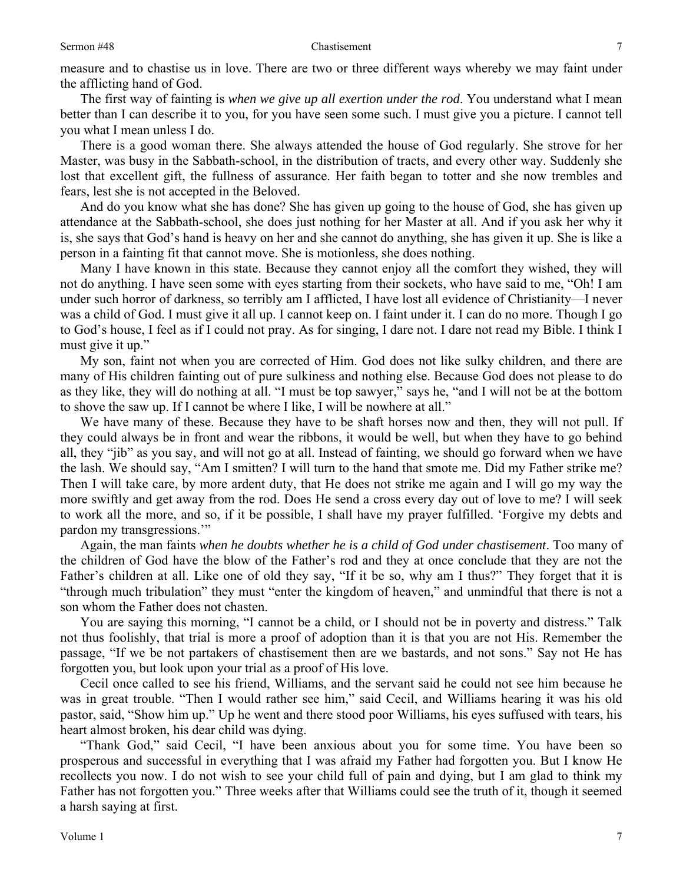measure and to chastise us in love. There are two or three different ways whereby we may faint under the afflicting hand of God.

The first way of fainting is *when we give up all exertion under the rod*. You understand what I mean better than I can describe it to you, for you have seen some such. I must give you a picture. I cannot tell you what I mean unless I do.

There is a good woman there. She always attended the house of God regularly. She strove for her Master, was busy in the Sabbath-school, in the distribution of tracts, and every other way. Suddenly she lost that excellent gift, the fullness of assurance. Her faith began to totter and she now trembles and fears, lest she is not accepted in the Beloved.

And do you know what she has done? She has given up going to the house of God, she has given up attendance at the Sabbath-school, she does just nothing for her Master at all. And if you ask her why it is, she says that God's hand is heavy on her and she cannot do anything, she has given it up. She is like a person in a fainting fit that cannot move. She is motionless, she does nothing.

Many I have known in this state. Because they cannot enjoy all the comfort they wished, they will not do anything. I have seen some with eyes starting from their sockets, who have said to me, "Oh! I am under such horror of darkness, so terribly am I afflicted, I have lost all evidence of Christianity—I never was a child of God. I must give it all up. I cannot keep on. I faint under it. I can do no more. Though I go to God's house, I feel as if I could not pray. As for singing, I dare not. I dare not read my Bible. I think I must give it up."

My son, faint not when you are corrected of Him. God does not like sulky children, and there are many of His children fainting out of pure sulkiness and nothing else. Because God does not please to do as they like, they will do nothing at all. "I must be top sawyer," says he, "and I will not be at the bottom to shove the saw up. If I cannot be where I like, I will be nowhere at all."

We have many of these. Because they have to be shaft horses now and then, they will not pull. If they could always be in front and wear the ribbons, it would be well, but when they have to go behind all, they "jib" as you say, and will not go at all. Instead of fainting, we should go forward when we have the lash. We should say, "Am I smitten? I will turn to the hand that smote me. Did my Father strike me? Then I will take care, by more ardent duty, that He does not strike me again and I will go my way the more swiftly and get away from the rod. Does He send a cross every day out of love to me? I will seek to work all the more, and so, if it be possible, I shall have my prayer fulfilled. 'Forgive my debts and pardon my transgressions.'"

Again, the man faints *when he doubts whether he is a child of God under chastisement*. Too many of the children of God have the blow of the Father's rod and they at once conclude that they are not the Father's children at all. Like one of old they say, "If it be so, why am I thus?" They forget that it is "through much tribulation" they must "enter the kingdom of heaven," and unmindful that there is not a son whom the Father does not chasten.

You are saying this morning, "I cannot be a child, or I should not be in poverty and distress." Talk not thus foolishly, that trial is more a proof of adoption than it is that you are not His. Remember the passage, "If we be not partakers of chastisement then are we bastards, and not sons." Say not He has forgotten you, but look upon your trial as a proof of His love.

Cecil once called to see his friend, Williams, and the servant said he could not see him because he was in great trouble. "Then I would rather see him," said Cecil, and Williams hearing it was his old pastor, said, "Show him up." Up he went and there stood poor Williams, his eyes suffused with tears, his heart almost broken, his dear child was dying.

"Thank God," said Cecil, "I have been anxious about you for some time. You have been so prosperous and successful in everything that I was afraid my Father had forgotten you. But I know He recollects you now. I do not wish to see your child full of pain and dying, but I am glad to think my Father has not forgotten you." Three weeks after that Williams could see the truth of it, though it seemed a harsh saying at first.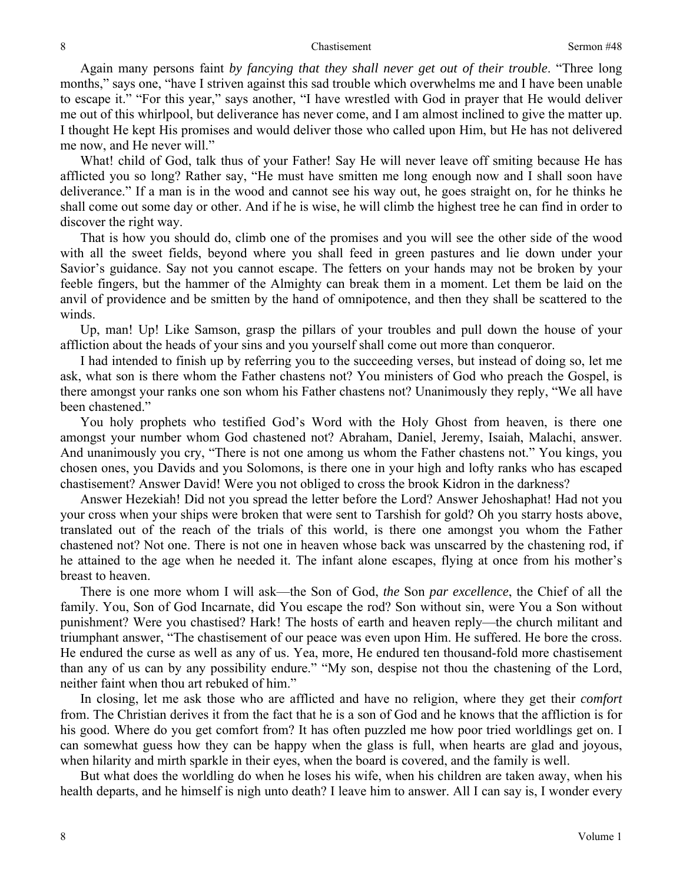Again many persons faint *by fancying that they shall never get out of their trouble*. "Three long months," says one, "have I striven against this sad trouble which overwhelms me and I have been unable to escape it." "For this year," says another, "I have wrestled with God in prayer that He would deliver me out of this whirlpool, but deliverance has never come, and I am almost inclined to give the matter up. I thought He kept His promises and would deliver those who called upon Him, but He has not delivered me now, and He never will."

What! child of God, talk thus of your Father! Say He will never leave off smiting because He has afflicted you so long? Rather say, "He must have smitten me long enough now and I shall soon have deliverance." If a man is in the wood and cannot see his way out, he goes straight on, for he thinks he shall come out some day or other. And if he is wise, he will climb the highest tree he can find in order to discover the right way.

That is how you should do, climb one of the promises and you will see the other side of the wood with all the sweet fields, beyond where you shall feed in green pastures and lie down under your Savior's guidance. Say not you cannot escape. The fetters on your hands may not be broken by your feeble fingers, but the hammer of the Almighty can break them in a moment. Let them be laid on the anvil of providence and be smitten by the hand of omnipotence, and then they shall be scattered to the winds.

Up, man! Up! Like Samson, grasp the pillars of your troubles and pull down the house of your affliction about the heads of your sins and you yourself shall come out more than conqueror.

I had intended to finish up by referring you to the succeeding verses, but instead of doing so, let me ask, what son is there whom the Father chastens not? You ministers of God who preach the Gospel, is there amongst your ranks one son whom his Father chastens not? Unanimously they reply, "We all have been chastened."

You holy prophets who testified God's Word with the Holy Ghost from heaven, is there one amongst your number whom God chastened not? Abraham, Daniel, Jeremy, Isaiah, Malachi, answer. And unanimously you cry, "There is not one among us whom the Father chastens not." You kings, you chosen ones, you Davids and you Solomons, is there one in your high and lofty ranks who has escaped chastisement? Answer David! Were you not obliged to cross the brook Kidron in the darkness?

Answer Hezekiah! Did not you spread the letter before the Lord? Answer Jehoshaphat! Had not you your cross when your ships were broken that were sent to Tarshish for gold? Oh you starry hosts above, translated out of the reach of the trials of this world, is there one amongst you whom the Father chastened not? Not one. There is not one in heaven whose back was unscarred by the chastening rod, if he attained to the age when he needed it. The infant alone escapes, flying at once from his mother's breast to heaven.

There is one more whom I will ask—the Son of God, *the* Son *par excellence*, the Chief of all the family. You, Son of God Incarnate, did You escape the rod? Son without sin, were You a Son without punishment? Were you chastised? Hark! The hosts of earth and heaven reply—the church militant and triumphant answer, "The chastisement of our peace was even upon Him. He suffered. He bore the cross. He endured the curse as well as any of us. Yea, more, He endured ten thousand-fold more chastisement than any of us can by any possibility endure." "My son, despise not thou the chastening of the Lord, neither faint when thou art rebuked of him."

In closing, let me ask those who are afflicted and have no religion, where they get their *comfort* from. The Christian derives it from the fact that he is a son of God and he knows that the affliction is for his good. Where do you get comfort from? It has often puzzled me how poor tried worldlings get on. I can somewhat guess how they can be happy when the glass is full, when hearts are glad and joyous, when hilarity and mirth sparkle in their eyes, when the board is covered, and the family is well.

But what does the worldling do when he loses his wife, when his children are taken away, when his health departs, and he himself is nigh unto death? I leave him to answer. All I can say is, I wonder every

8